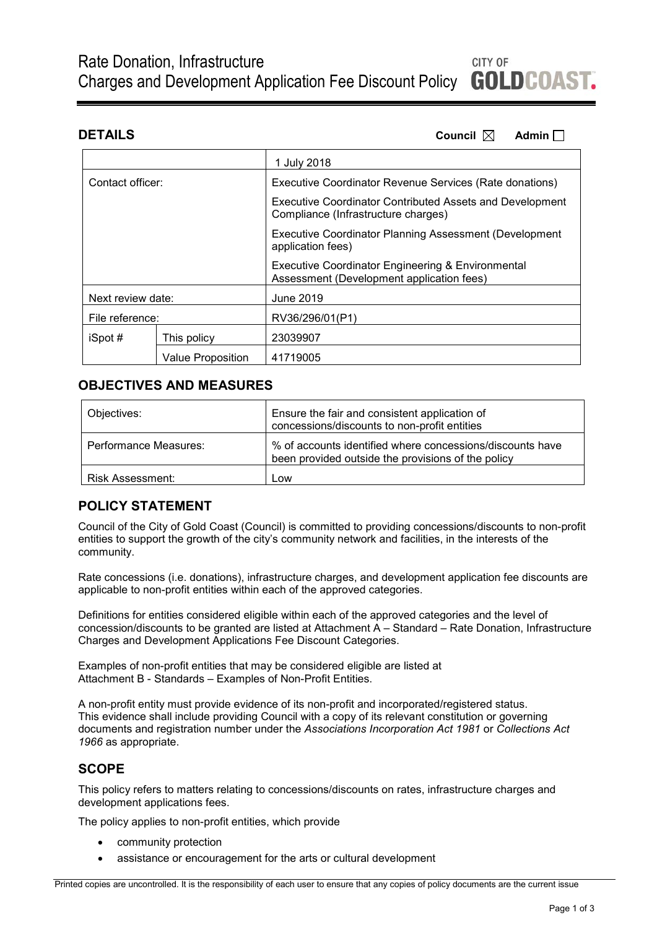**DETAILS Council**  $\boxtimes$  **Admin** 

|                   |                          | 1 July 2018                                                                                            |  |
|-------------------|--------------------------|--------------------------------------------------------------------------------------------------------|--|
| Contact officer:  |                          | Executive Coordinator Revenue Services (Rate donations)                                                |  |
|                   |                          | <b>Executive Coordinator Contributed Assets and Development</b><br>Compliance (Infrastructure charges) |  |
|                   |                          | <b>Executive Coordinator Planning Assessment (Development</b><br>application fees)                     |  |
|                   |                          | Executive Coordinator Engineering & Environmental<br>Assessment (Development application fees)         |  |
| Next review date: |                          | June 2019                                                                                              |  |
| File reference:   |                          | RV36/296/01(P1)                                                                                        |  |
| iSpot #           | This policy              | 23039907                                                                                               |  |
|                   | <b>Value Proposition</b> | 41719005                                                                                               |  |

# **OBJECTIVES AND MEASURES**

| Objectives:           | Ensure the fair and consistent application of<br>concessions/discounts to non-profit entities                   |  |
|-----------------------|-----------------------------------------------------------------------------------------------------------------|--|
| Performance Measures: | % of accounts identified where concessions/discounts have<br>been provided outside the provisions of the policy |  |
| Risk Assessment:      | Low                                                                                                             |  |

# **POLICY STATEMENT**

Council of the City of Gold Coast (Council) is committed to providing concessions/discounts to non-profit entities to support the growth of the city's community network and facilities, in the interests of the community.

Rate concessions (i.e. donations), infrastructure charges, and development application fee discounts are applicable to non-profit entities within each of the approved categories.

Definitions for entities considered eligible within each of the approved categories and the level of concession/discounts to be granted are listed at Attachment A – Standard – Rate Donation, Infrastructure Charges and Development Applications Fee Discount Categories.

Examples of non-profit entities that may be considered eligible are listed at Attachment B - Standards – Examples of Non-Profit Entities.

A non-profit entity must provide evidence of its non-profit and incorporated/registered status. This evidence shall include providing Council with a copy of its relevant constitution or governing documents and registration number under the *Associations Incorporation Act 1981* or *Collections Act 1966* as appropriate.

# **SCOPE**

This policy refers to matters relating to concessions/discounts on rates, infrastructure charges and development applications fees.

The policy applies to non-profit entities, which provide

- community protection
- assistance or encouragement for the arts or cultural development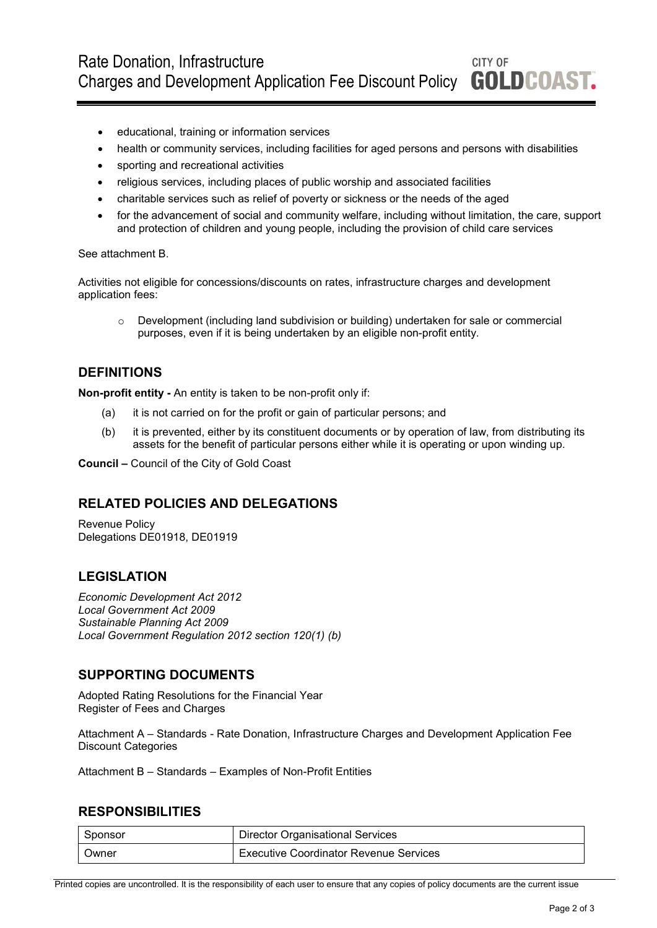- educational, training or information services
- health or community services, including facilities for aged persons and persons with disabilities
- sporting and recreational activities
- religious services, including places of public worship and associated facilities
- charitable services such as relief of poverty or sickness or the needs of the aged
- for the advancement of social and community welfare, including without limitation, the care, support and protection of children and young people, including the provision of child care services

See attachment B.

Activities not eligible for concessions/discounts on rates, infrastructure charges and development application fees:

o Development (including land subdivision or building) undertaken for sale or commercial purposes, even if it is being undertaken by an eligible non-profit entity.

# **DEFINITIONS**

**Non-profit entity -** An entity is taken to be non-profit only if:

- (a) it is not carried on for the profit or gain of particular persons; and
- (b) it is prevented, either by its constituent documents or by operation of law, from distributing its assets for the benefit of particular persons either while it is operating or upon winding up.

**Council –** Council of the City of Gold Coast

# **RELATED POLICIES AND DELEGATIONS**

Revenue Policy Delegations DE01918, DE01919

# **LEGISLATION**

*Economic Development Act 2012 Local Government Act 2009 Sustainable Planning Act 2009 Local Government Regulation 2012 section 120(1) (b)*

# **SUPPORTING DOCUMENTS**

Adopted Rating Resolutions for the Financial Year Register of Fees and Charges

Attachment A – Standards - Rate Donation, Infrastructure Charges and Development Application Fee Discount Categories

Attachment B – Standards – Examples of Non-Profit Entities

### **RESPONSIBILITIES**

| Sponsor      | Director Organisational Services       |
|--------------|----------------------------------------|
| <b>Owner</b> | Executive Coordinator Revenue Services |

Printed copies are uncontrolled. It is the responsibility of each user to ensure that any copies of policy documents are the current issue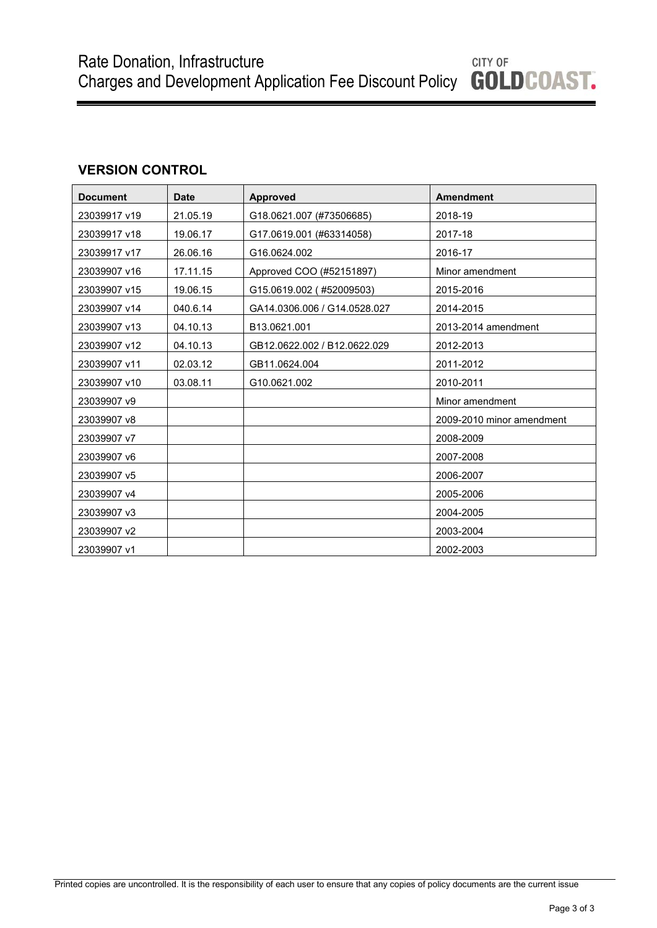# **VERSION CONTROL**

| <b>Document</b> | <b>Date</b> | <b>Approved</b>              | <b>Amendment</b>          |
|-----------------|-------------|------------------------------|---------------------------|
| 23039917 v19    | 21.05.19    | G18.0621.007 (#73506685)     | 2018-19                   |
| 23039917 v18    | 19.06.17    | G17.0619.001 (#63314058)     | 2017-18                   |
| 23039917 v17    | 26.06.16    | G16.0624.002                 | 2016-17                   |
| 23039907 v16    | 17.11.15    | Approved COO (#52151897)     | Minor amendment           |
| 23039907 v15    | 19.06.15    | G15.0619.002 (#52009503)     | 2015-2016                 |
| 23039907 v14    | 040.6.14    | GA14.0306.006 / G14.0528.027 | 2014-2015                 |
| 23039907 v13    | 04.10.13    | B13.0621.001                 | 2013-2014 amendment       |
| 23039907 v12    | 04.10.13    | GB12.0622.002 / B12.0622.029 | 2012-2013                 |
| 23039907 v11    | 02.03.12    | GB11.0624.004                | 2011-2012                 |
| 23039907 v10    | 03.08.11    | G10.0621.002                 | 2010-2011                 |
| 23039907 v9     |             |                              | Minor amendment           |
| 23039907 v8     |             |                              | 2009-2010 minor amendment |
| 23039907 v7     |             |                              | 2008-2009                 |
| 23039907 v6     |             |                              | 2007-2008                 |
| 23039907 v5     |             |                              | 2006-2007                 |
| 23039907 v4     |             |                              | 2005-2006                 |
| 23039907 v3     |             |                              | 2004-2005                 |
| 23039907 v2     |             |                              | 2003-2004                 |
| 23039907 v1     |             |                              | 2002-2003                 |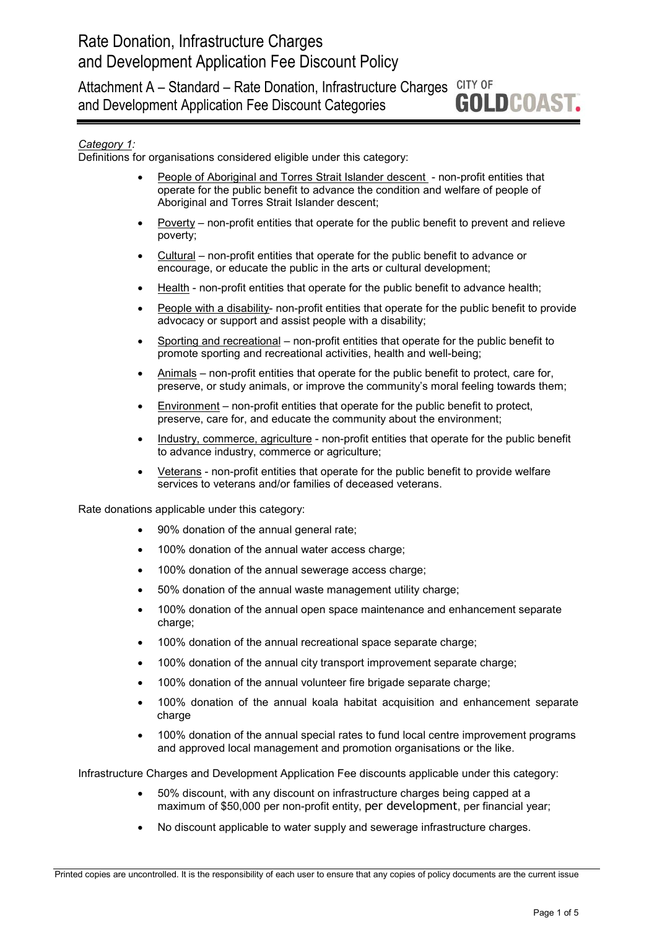Attachment A - Standard - Rate Donation, Infrastructure Charges CITY OF **GOLDCOAST.** and Development Application Fee Discount Categories

# *Category 1:*

Definitions for organisations considered eligible under this category:

- People of Aboriginal and Torres Strait Islander descent non-profit entities that operate for the public benefit to advance the condition and welfare of people of Aboriginal and Torres Strait Islander descent;
- Poverty non-profit entities that operate for the public benefit to prevent and relieve poverty;
- Cultural non-profit entities that operate for the public benefit to advance or encourage, or educate the public in the arts or cultural development;
- Health non-profit entities that operate for the public benefit to advance health;
- People with a disability- non-profit entities that operate for the public benefit to provide advocacy or support and assist people with a disability;
- Sporting and recreational non-profit entities that operate for the public benefit to promote sporting and recreational activities, health and well-being;
- Animals non-profit entities that operate for the public benefit to protect, care for, preserve, or study animals, or improve the community's moral feeling towards them;
- Environment non-profit entities that operate for the public benefit to protect, preserve, care for, and educate the community about the environment;
- Industry, commerce, agriculture non-profit entities that operate for the public benefit to advance industry, commerce or agriculture;
- Veterans non-profit entities that operate for the public benefit to provide welfare services to veterans and/or families of deceased veterans.

Rate donations applicable under this category:

- 90% donation of the annual general rate;
- 100% donation of the annual water access charge;
- 100% donation of the annual sewerage access charge;
- 50% donation of the annual waste management utility charge;
- 100% donation of the annual open space maintenance and enhancement separate charge;
- 100% donation of the annual recreational space separate charge;
- 100% donation of the annual city transport improvement separate charge;
- 100% donation of the annual volunteer fire brigade separate charge;
- 100% donation of the annual koala habitat acquisition and enhancement separate charge
- 100% donation of the annual special rates to fund local centre improvement programs and approved local management and promotion organisations or the like.

Infrastructure Charges and Development Application Fee discounts applicable under this category:

- 50% discount, with any discount on infrastructure charges being capped at a maximum of \$50,000 per non-profit entity, per development, per financial year;
- No discount applicable to water supply and sewerage infrastructure charges.

Printed copies are uncontrolled. It is the responsibility of each user to ensure that any copies of policy documents are the current issue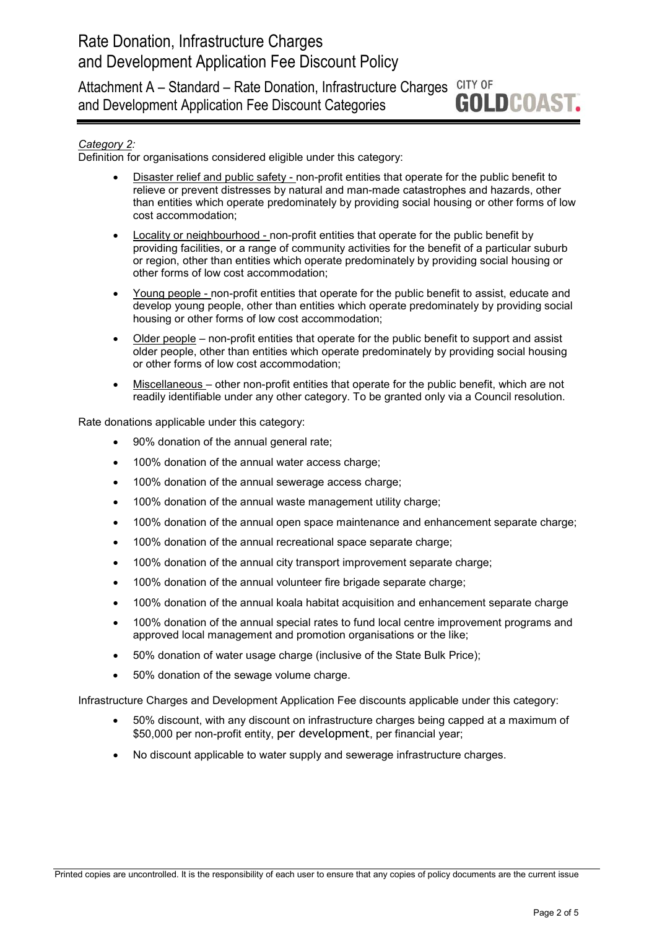CITY OF Attachment A – Standard – Rate Donation, Infrastructure Charges **GOLDCOAST.** and Development Application Fee Discount Categories

# *Category 2:*

Definition for organisations considered eligible under this category:

- Disaster relief and public safety non-profit entities that operate for the public benefit to relieve or prevent distresses by natural and man-made catastrophes and hazards, other than entities which operate predominately by providing social housing or other forms of low cost accommodation;
- Locality or neighbourhood non-profit entities that operate for the public benefit by providing facilities, or a range of community activities for the benefit of a particular suburb or region, other than entities which operate predominately by providing social housing or other forms of low cost accommodation;
- Young people non-profit entities that operate for the public benefit to assist, educate and develop young people, other than entities which operate predominately by providing social housing or other forms of low cost accommodation;
- Older people non-profit entities that operate for the public benefit to support and assist older people, other than entities which operate predominately by providing social housing or other forms of low cost accommodation;
- Miscellaneous other non-profit entities that operate for the public benefit, which are not readily identifiable under any other category. To be granted only via a Council resolution.

Rate donations applicable under this category:

- 90% donation of the annual general rate;
- 100% donation of the annual water access charge;
- 100% donation of the annual sewerage access charge;
- 100% donation of the annual waste management utility charge:
- 100% donation of the annual open space maintenance and enhancement separate charge;
- 100% donation of the annual recreational space separate charge;
- 100% donation of the annual city transport improvement separate charge;
- 100% donation of the annual volunteer fire brigade separate charge;
- 100% donation of the annual koala habitat acquisition and enhancement separate charge
- 100% donation of the annual special rates to fund local centre improvement programs and approved local management and promotion organisations or the like;
- 50% donation of water usage charge (inclusive of the State Bulk Price);
- 50% donation of the sewage volume charge.

Infrastructure Charges and Development Application Fee discounts applicable under this category:

- 50% discount, with any discount on infrastructure charges being capped at a maximum of \$50,000 per non-profit entity, per development, per financial year;
- No discount applicable to water supply and sewerage infrastructure charges.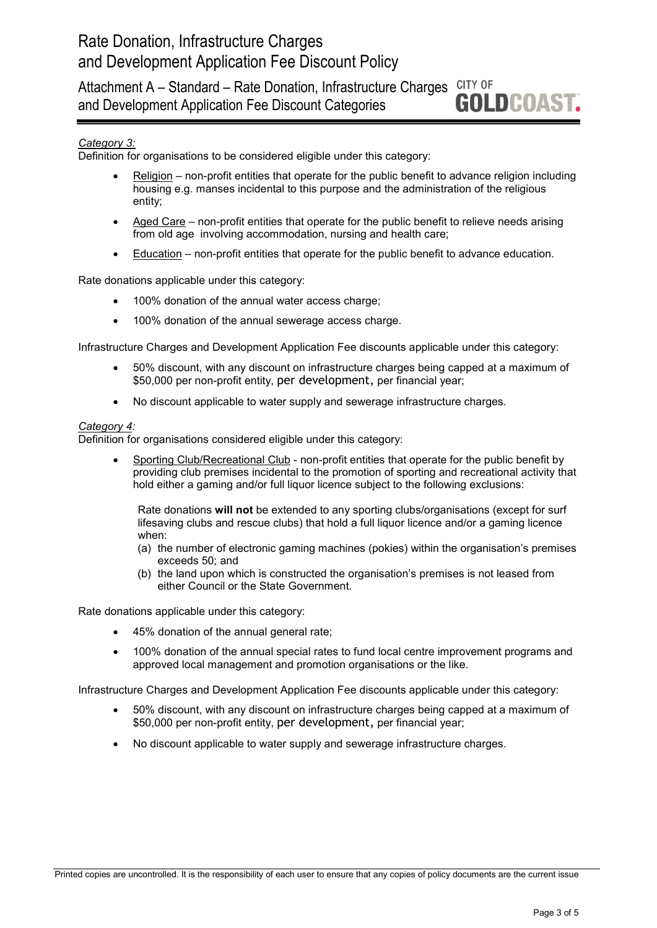CITY OF Attachment A – Standard – Rate Donation, Infrastructure Charges **GOLDCOAST.** and Development Application Fee Discount Categories

# *Category 3:*

Definition for organisations to be considered eligible under this category:

- Religion non-profit entities that operate for the public benefit to advance religion including housing e.g. manses incidental to this purpose and the administration of the religious entity;
- Aged Care non-profit entities that operate for the public benefit to relieve needs arising from old age involving accommodation, nursing and health care;
- Education non-profit entities that operate for the public benefit to advance education.

Rate donations applicable under this category:

- 100% donation of the annual water access charge;
- 100% donation of the annual sewerage access charge.

Infrastructure Charges and Development Application Fee discounts applicable under this category:

- 50% discount, with any discount on infrastructure charges being capped at a maximum of \$50,000 per non-profit entity, per development, per financial year;
- No discount applicable to water supply and sewerage infrastructure charges.

#### *Category 4:*

Definition for organisations considered eligible under this category:

Sporting Club/Recreational Club - non-profit entities that operate for the public benefit by providing club premises incidental to the promotion of sporting and recreational activity that hold either a gaming and/or full liquor licence subject to the following exclusions:

Rate donations **will not** be extended to any sporting clubs/organisations (except for surf lifesaving clubs and rescue clubs) that hold a full liquor licence and/or a gaming licence when:

- (a) the number of electronic gaming machines (pokies) within the organisation's premises exceeds 50; and
- (b) the land upon which is constructed the organisation's premises is not leased from either Council or the State Government.

Rate donations applicable under this category:

- 45% donation of the annual general rate;
- 100% donation of the annual special rates to fund local centre improvement programs and approved local management and promotion organisations or the like.

Infrastructure Charges and Development Application Fee discounts applicable under this category:

- 50% discount, with any discount on infrastructure charges being capped at a maximum of \$50,000 per non-profit entity, per development, per financial year;
- No discount applicable to water supply and sewerage infrastructure charges.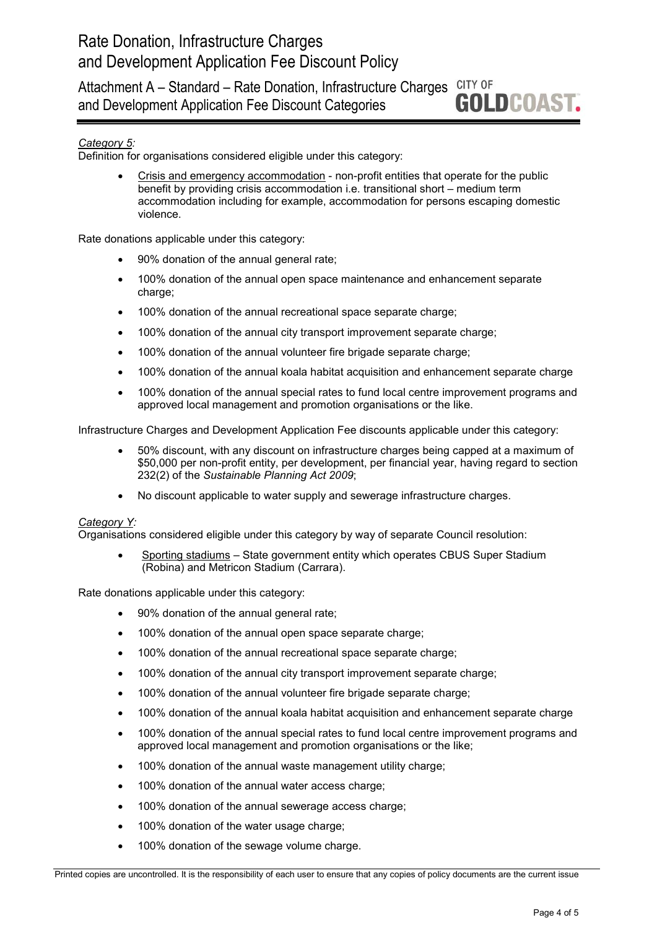Attachment A - Standard - Rate Donation, Infrastructure Charges CITY OF **GOLDCOAST.** and Development Application Fee Discount Categories

# *Category 5:*

Definition for organisations considered eligible under this category:

• Crisis and emergency accommodation - non-profit entities that operate for the public benefit by providing crisis accommodation i.e. transitional short – medium term accommodation including for example, accommodation for persons escaping domestic violence.

Rate donations applicable under this category:

- 90% donation of the annual general rate;
- 100% donation of the annual open space maintenance and enhancement separate charge;
- 100% donation of the annual recreational space separate charge:
- 100% donation of the annual city transport improvement separate charge;
- 100% donation of the annual volunteer fire brigade separate charge;
- 100% donation of the annual koala habitat acquisition and enhancement separate charge
- 100% donation of the annual special rates to fund local centre improvement programs and approved local management and promotion organisations or the like.

Infrastructure Charges and Development Application Fee discounts applicable under this category:

- 50% discount, with any discount on infrastructure charges being capped at a maximum of \$50,000 per non-profit entity, per development, per financial year, having regard to section 232(2) of the *Sustainable Planning Act 2009*;
- No discount applicable to water supply and sewerage infrastructure charges.

#### *Category Y:*

Organisations considered eligible under this category by way of separate Council resolution:

• Sporting stadiums – State government entity which operates CBUS Super Stadium (Robina) and Metricon Stadium (Carrara).

Rate donations applicable under this category:

- 90% donation of the annual general rate;
- 100% donation of the annual open space separate charge;
- 100% donation of the annual recreational space separate charge;
- 100% donation of the annual city transport improvement separate charge;
- 100% donation of the annual volunteer fire brigade separate charge;
- 100% donation of the annual koala habitat acquisition and enhancement separate charge
- 100% donation of the annual special rates to fund local centre improvement programs and approved local management and promotion organisations or the like;
- 100% donation of the annual waste management utility charge;
- 100% donation of the annual water access charge;
- 100% donation of the annual sewerage access charge;
- 100% donation of the water usage charge;
- 100% donation of the sewage volume charge.

Printed copies are uncontrolled. It is the responsibility of each user to ensure that any copies of policy documents are the current issue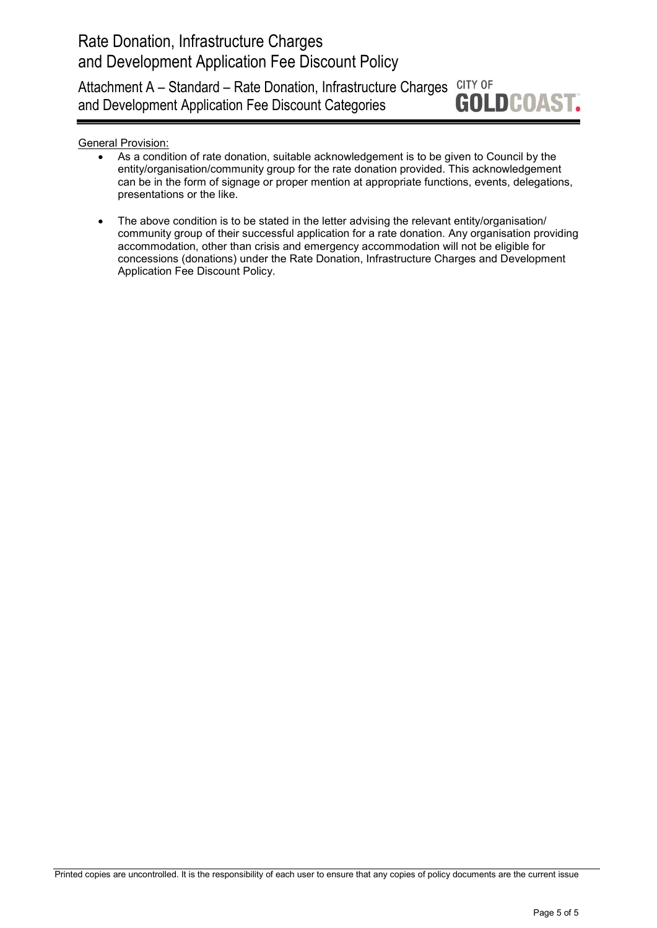CITY OF Attachment A – Standard – Rate Donation, Infrastructure Charges **GOLDCOAST.** and Development Application Fee Discount Categories

General Provision:

- As a condition of rate donation, suitable acknowledgement is to be given to Council by the entity/organisation/community group for the rate donation provided. This acknowledgement can be in the form of signage or proper mention at appropriate functions, events, delegations, presentations or the like.
- The above condition is to be stated in the letter advising the relevant entity/organisation/ community group of their successful application for a rate donation. Any organisation providing accommodation, other than crisis and emergency accommodation will not be eligible for concessions (donations) under the Rate Donation, Infrastructure Charges and Development Application Fee Discount Policy.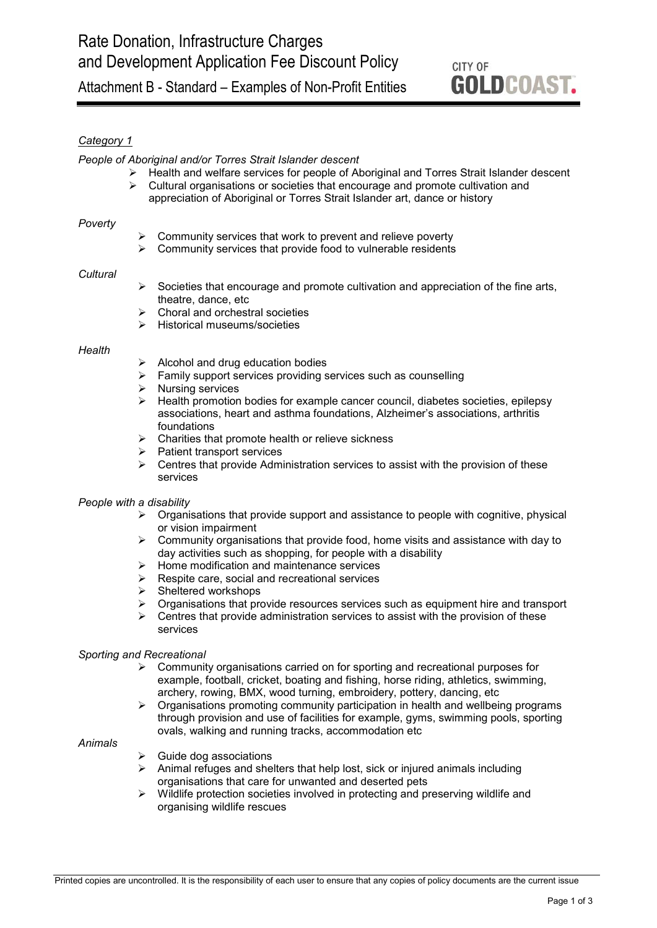# CITY OF **GOLDCOAST.**

# *Category 1*

#### *People of Aboriginal and/or Torres Strait Islander descent*

- $\triangleright$  Health and welfare services for people of Aboriginal and Torres Strait Islander descent  $\triangleright$  Cultural organisations or societies that encourage and promote cultivation and
	- Cultural organisations or societies that encourage and promote cultivation and appreciation of Aboriginal or Torres Strait Islander art, dance or history

#### *Poverty*

- Community services that work to prevent and relieve poverty
- $\triangleright$  Community services that provide food to vulnerable residents

#### *Cultural*

- Societies that encourage and promote cultivation and appreciation of the fine arts, theatre, dance, etc
- Choral and orchestral societies
- $\triangleright$  Historical museums/societies

#### *Health*

- $\triangleright$  Alcohol and drug education bodies
- $\triangleright$  Family support services providing services such as counselling
- $\triangleright$  Nursing services
- > Health promotion bodies for example cancer council, diabetes societies, epilepsy associations, heart and asthma foundations, Alzheimer's associations, arthritis foundations
- $\triangleright$  Charities that promote health or relieve sickness<br>  $\triangleright$  Patient transport services
- Patient transport services
- $\triangleright$  Centres that provide Administration services to assist with the provision of these services

#### *People with a disability*

- $\triangleright$  Organisations that provide support and assistance to people with cognitive, physical or vision impairment
- $\triangleright$  Community organisations that provide food, home visits and assistance with day to day activities such as shopping, for people with a disability
- $\triangleright$  Home modification and maintenance services
- $\triangleright$  Respite care, social and recreational services
- $\triangleright$  Sheltered workshops
- $\triangleright$  Organisations that provide resources services such as equipment hire and transport
- $\triangleright$  Centres that provide administration services to assist with the provision of these services

#### *Sporting and Recreational*

- $\triangleright$  Community organisations carried on for sporting and recreational purposes for example, football, cricket, boating and fishing, horse riding, athletics, swimming, archery, rowing, BMX, wood turning, embroidery, pottery, dancing, etc
- $\triangleright$  Organisations promoting community participation in health and wellbeing programs through provision and use of facilities for example, gyms, swimming pools, sporting ovals, walking and running tracks, accommodation etc

#### *Animals*

- $\triangleright$  Guide dog associations
- $\triangleright$  Animal refuges and shelters that help lost, sick or injured animals including organisations that care for unwanted and deserted pets
- $\triangleright$  Wildlife protection societies involved in protecting and preserving wildlife and organising wildlife rescues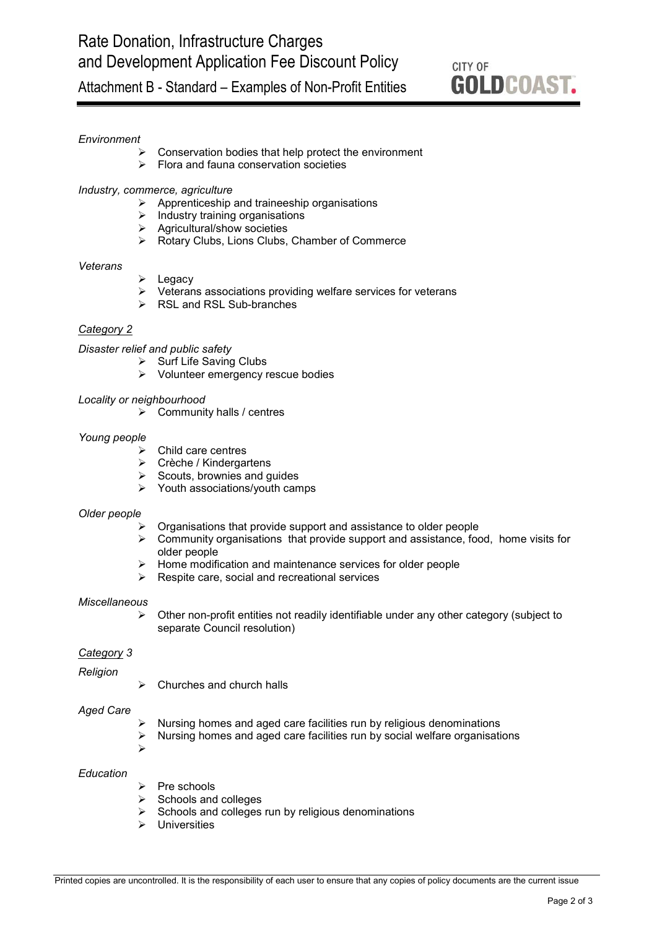# CITY OF **GOLDCOAST.**

# Attachment B - Standard – Examples of Non-Profit Entities

### *Environment*

- Conservation bodies that help protect the environment
- $\triangleright$  Flora and fauna conservation societies

#### *Industry, commerce, agriculture*

- $\triangleright$  Apprenticeship and traineeship organisations
- $\triangleright$  Industry training organisations
- $\triangleright$  Agricultural/show societies
- ▶ Rotary Clubs, Lions Clubs, Chamber of Commerce

#### *Veterans*

- $\triangleright$  Legacy
- $\triangleright$  Veterans associations providing welfare services for veterans
- **► RSL and RSL Sub-branches**

#### *Category 2*

*Disaster relief and public safety*

- $\triangleright$  Surf Life Saving Clubs
- Volunteer emergency rescue bodies

#### *Locality or neighbourhood*

 $\triangleright$  Community halls / centres

#### *Young people*

- $\triangleright$  Child care centres
- Crèche / Kindergartens
- $\triangleright$  Scouts, brownies and guides
- $\triangleright$  Youth associations/youth camps

#### *Older people*

- Organisations that provide support and assistance to older people
- $\triangleright$  Community organisations that provide support and assistance, food, home visits for older people
- $\triangleright$  Home modification and maintenance services for older people
- Respite care, social and recreational services

#### *Miscellaneous*

 $\triangleright$  Other non-profit entities not readily identifiable under any other category (subject to separate Council resolution)

#### *Category 3*

*Religion*

Churches and church halls

#### *Aged Care*

- $\triangleright$  Nursing homes and aged care facilities run by religious denominations  $\triangleright$  Nursing homes and aged care facilities run by social welfare organisations
- Nursing homes and aged care facilities run by social welfare organisations
- $\blacktriangleright$

### *Education*

- Pre schools
- $\triangleright$  Schools and colleges
- $\triangleright$  Schools and colleges run by religious denominations
- Universities